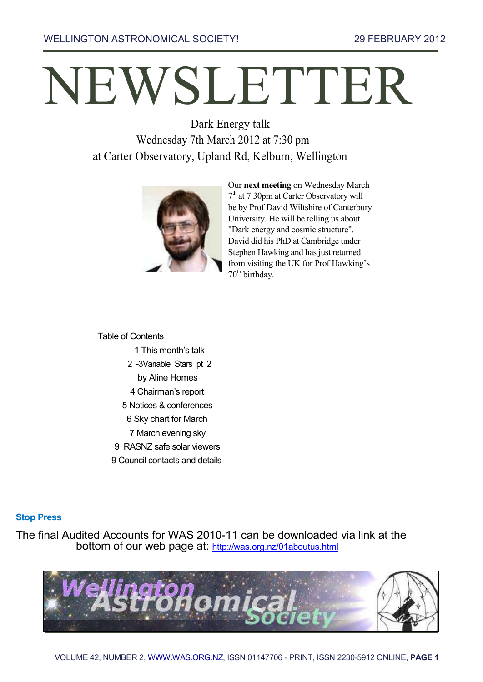# NEWSLETTER

Dark Energy talk Wednesday 7th March 2012 at 7:30 pm at Carter Observatory, Upland Rd, Kelburn, Wellington



Our **next meeting** on Wednesday March 7<sup>th</sup> at 7:30pm at Carter Observatory will be by Prof David Wiltshire of Canterbury University. He will be telling us about "Dark energy and cosmic structure". David did his PhD at Cambridge under Stephen Hawking and has just returned from visiting the UK for Prof Hawking's  $70<sup>th</sup>$  birthday.

Table of Contents

- 1 This month's talk
- 2 -3Variable Stars pt 2
- by Aline Homes
- 4 Chairman's report
- 5 Notices & conferences
- 6 Sky chart for March
- 7 March evening sky
- 9 RASNZ safe solar viewers
- 9 Council contacts and details

#### **Stop Press**

The final Audited Accounts for WAS 2010-11 can be downloaded via link at the bottom of our web page at: <http://was.org.nz/01aboutus.html>

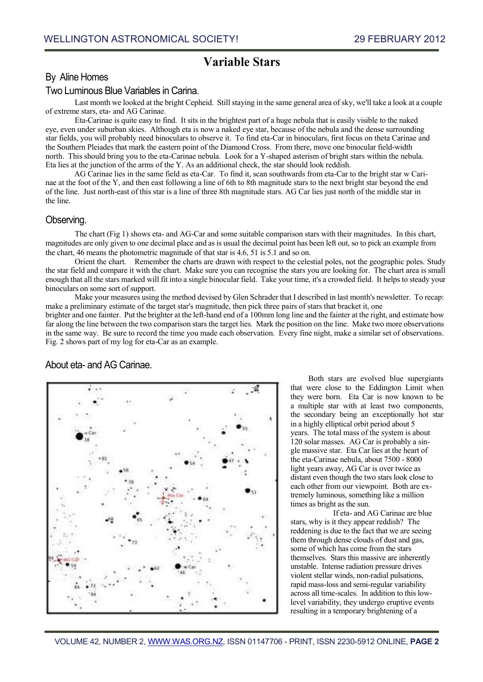## **Variable Stars**

#### By Aline Homes

#### Two Luminous Blue Variables in Carina.

Last month we looked at the bright Cepheid. Still staying in the same general area of sky, we'll take a look at a couple of extreme stars, eta- and AG Carinae.

Eta-Carinae is quite easy to find. It sits in the brightest part of a huge nebula that is easily visible to the naked eye, even under suburban skies. Although eta is now a naked eye star, because of the nebula and the dense surrounding star fields, you will probably need binoculars to observe it. To find eta-Car in binoculars, first focus on theta Carinae and the Southern Pleiades that mark the eastern point of the Diamond Cross. From there, move one binocular field-width north. This should bring you to the eta-Carinae nebula. Look for a Y-shaped asterism of bright stars within the nebula. Eta lies at the junction of the arms of the Y. As an additional check, the star should look reddish.

AG Carinae lies in the same field as eta-Car. To find it, scan southwards from eta-Car to the bright star w Carinae at the foot of the Y, and then east following a line of 6th to 8th magnitude stars to the next bright star beyond the end of the line. Just north-east of this star is a line of three 8th magnitude stars. AG Car lies just north of the middle star in the line.

#### Observing.

The chart (Fig 1) shows eta- and AG-Car and some suitable comparison stars with their magnitudes. In this chart, magnitudes are only given to one decimal place and as is usual the decimal point has been left out, so to pick an example from the chart, 46 means the photometric magnitude of that star is 4.6, 51 is 5.1 and so on.

Orient the chart. Remember the charts are drawn with respect to the celestial poles, not the geographic poles. Study the star field and compare it with the chart. Make sure you can recognise the stars you are looking for. The chart area is small enough that all the stars marked will fit into a single binocular field. Take your time, it's a crowded field. It helps to steady your binoculars on some sort of support.

Make your measures using the method devised by Glen Schrader that I described in last month's newsletter. To recap: make a preliminary estimate of the target star's magnitude, then pick three pairs of stars that bracket it, one

brighter and one fainter. Put the brighter at the left-hand end of a 100mm long line and the fainter at the right, and estimate how far along the line between the two comparison stars the target lies. Mark the position on the line. Make two more observations in the same way. Be sure to record the time you made each observation. Every fine night, make a similar set of observations. Fig. 2 shows part of my log for eta-Car as an example.



About eta- and AG Carinae.

Both stars are evolved blue supergiants that were close to the Eddington Limit when they were born. Eta Car is now known to be a multiple star with at least two components, the secondary being an exceptionally hot star in a highly elliptical orbit period about 5 years. The total mass of the system is about 120 solar masses. AG Car is probably a single massive star. Eta Car lies at the heart of the eta-Carinae nebula, about 7500 - 8000 light years away, AG Car is over twice as distant even though the two stars look close to each other from our viewpoint. Both are extremely luminous, something like a million times as bright as the sun.

If eta- and AG Carinae are blue stars, why is it they appear reddish? The reddening is due to the fact that we are seeing them through dense clouds of dust and gas, some of which has come from the stars themselves. Stars this massive are inherently unstable. Intense radiation pressure drives violent stellar winds, non-radial pulsations, rapid mass-loss and semi-regular variability across all time-scales. In addition to this lowlevel variability, they undergo eruptive events resulting in a temporary brightening of a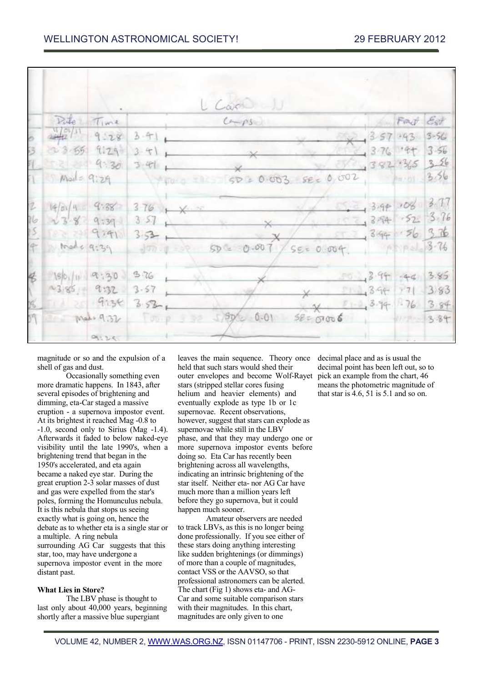|                      |                  |                       | $L$ Case $U$                                         |                        |                  |           |  |
|----------------------|------------------|-----------------------|------------------------------------------------------|------------------------|------------------|-----------|--|
|                      |                  | Pate Time             | $C\rightarrow PS$                                    |                        |                  | Frank Est |  |
|                      |                  | $9.283 - 1$           | Side                                                 |                        | $357.43$ 3-56    |           |  |
|                      |                  | $23.55$ $129$ $3.4$   |                                                      |                        | $1376$ $9 + 356$ |           |  |
|                      |                  |                       | 9.3039                                               | 382.365 326            |                  |           |  |
|                      |                  |                       | 1 Made 9:29 1900 1000 50 2 0.003 SEC 0,002 1000 3.56 |                        |                  |           |  |
| 2                    |                  |                       | $14/a/4$ 4.38 376 x                                  | $5.2, 3.99$ 108 3.77   |                  |           |  |
| 16                   |                  |                       | 1389937                                              | 376                    |                  |           |  |
| 15                   |                  |                       | $52 - 9291 - 353 +$                                  | 394.5636               |                  |           |  |
|                      |                  |                       | 4 trade 9:39 Jong of 50 0.007 / SE= 0.004.           |                        |                  |           |  |
| $\ddot{\mathcal{E}}$ | $86.10$ 9:30 376 |                       |                                                      | $3.85$ $3.85$          |                  |           |  |
|                      |                  | $-3.85 - 9.32 = 3.57$ |                                                      | $395$ $395$ $71$ $383$ |                  |           |  |
| X                    | 1 20 9038 3.53   |                       |                                                      | $x$ 8 3.94 3.76 3.84   |                  |           |  |
|                      |                  |                       | make 9.32 Toop 3 32 5/88/2 0.01 SECOTORE , 112 3.84  |                        |                  |           |  |
|                      |                  | 91.34                 |                                                      |                        |                  |           |  |

magnitude or so and the expulsion of a shell of gas and dust.

Occasionally something even more dramatic happens. In 1843, after several episodes of brightening and dimming, eta-Car staged a massive eruption - a supernova impostor event. At its brightest it reached Mag -0.8 to -1.0, second only to Sirius (Mag -1.4). Afterwards it faded to below naked-eye visibility until the late 1990's, when a brightening trend that began in the 1950's accelerated, and eta again became a naked eye star. During the great eruption 2-3 solar masses of dust and gas were expelled from the star's poles, forming the Homunculus nebula. It is this nebula that stops us seeing exactly what is going on, hence the debate as to whether eta is a single star or a multiple. A ring nebula surrounding AG Car suggests that this star, too, may have undergone a supernova impostor event in the more distant past.

#### **What Lies in Store?**

The LBV phase is thought to last only about 40,000 years, beginning shortly after a massive blue supergiant

leaves the main sequence. Theory once held that such stars would shed their outer envelopes and become Wolf-Rayet pick an example from the chart, 46 stars (stripped stellar cores fusing helium and heavier elements) and eventually explode as type 1b or 1c supernovae. Recent observations, however, suggest that stars can explode as supernovae while still in the LBV phase, and that they may undergo one or more supernova impostor events before doing so. Eta Car has recently been brightening across all wavelengths, indicating an intrinsic brightening of the star itself. Neither eta- nor AG Car have much more than a million years left before they go supernova, but it could happen much sooner.

Amateur observers are needed to track LBVs, as this is no longer being done professionally. If you see either of these stars doing anything interesting like sudden brightenings (or dimmings) of more than a couple of magnitudes, contact VSS or the AAVSO, so that professional astronomers can be alerted. The chart (Fig 1) shows eta- and AG-Car and some suitable comparison stars with their magnitudes. In this chart, magnitudes are only given to one

decimal place and as is usual the decimal point has been left out, so to means the photometric magnitude of that star is 4.6, 51 is 5.1 and so on.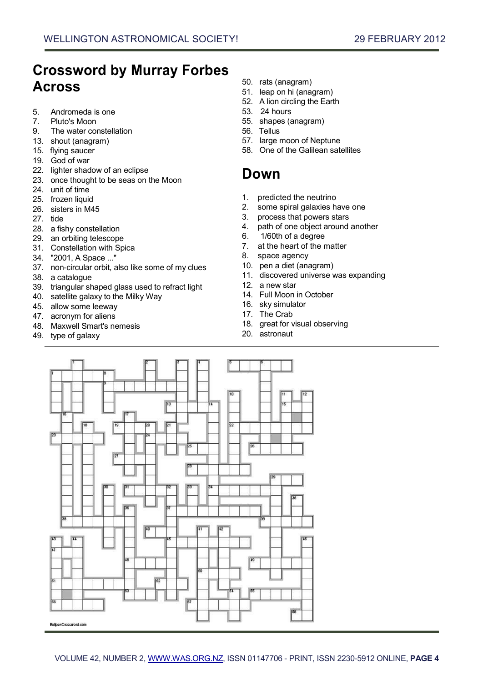# **Crossword by Murray Forbes Across**

- 5. Andromeda is one
- 7. Pluto's Moon
- 9. The water constellation
- 13. shout (anagram)
- 15. flying saucer
- 19. God of war
- 22. lighter shadow of an eclipse
- 23. once thought to be seas on the Moon
- 24. unit of time
- 25. frozen liquid
- 26. sisters in M45
- 27. tide
- 28. a fishy constellation
- 29. an orbiting telescope
- 31. Constellation with Spica
- 34. "2001, A Space ..."
- 37. non-circular orbit, also like some of my clues
- 38. a catalogue
- 39. triangular shaped glass used to refract light
- 40. satellite galaxy to the Milky Way
- 45. allow some leeway
- 47. acronym for aliens
- 48. Maxwell Smart's nemesis
- 49. type of galaxy
- 50. rats (anagram)
- 51. leap on hi (anagram)
- 52. A lion circling the Earth
- 53. 24 hours
- 55. shapes (anagram)
- 56. Tellus
- 57. large moon of Neptune
- 58. One of the Galilean satellites

# **Down**

- 1. predicted the neutrino
- 2. some spiral galaxies have one
- 3. process that powers stars
- 4. path of one object around another
- 6. 1/60th of a degree
- 7. at the heart of the matter
- 8. space agency
- 10. pen a diet (anagram)
- 11. discovered universe was expanding
- 12. a new star
- 14. Full Moon in October
- 16. sky simulator
- 17. The Crab
- 18. great for visual observing
- 20. astronaut

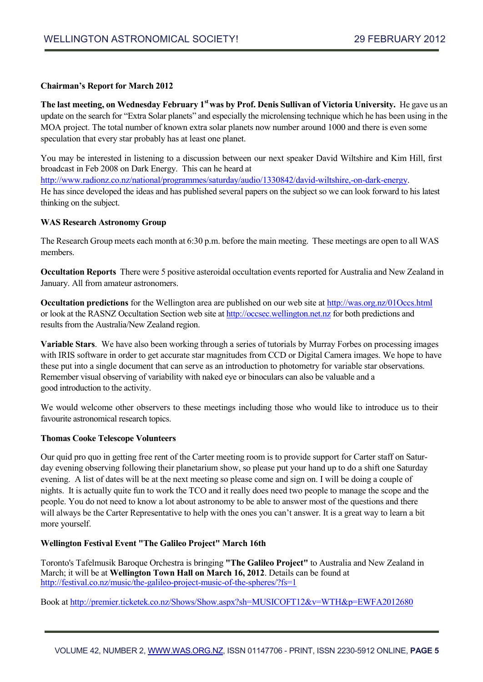#### **Chairman's Report for March 2012**

**The last meeting, on Wednesday February 1st was by Prof. Denis Sullivan of Victoria University.** He gave us an update on the search for "Extra Solar planets" and especially the microlensing technique which he has been using in the MOA project. The total number of known extra solar planets now number around 1000 and there is even some speculation that every star probably has at least one planet.

You may be interested in listening to a discussion between our next speaker David Wiltshire and Kim Hill, first broadcast in Feb 2008 on Dark Energy. This can he heard at [http://www.radionz.co.nz/national/programmes/saturday/audio/1330842/david-wiltshire,-on-dark-energy.](http://www.radionz.co.nz/national/programmes/saturday/audio/1330842/david-wiltshire,-on-dark-energy) He has since developed the ideas and has published several papers on the subject so we can look forward to his latest thinking on the subject.

#### **WAS Research Astronomy Group**

The Research Group meets each month at 6:30 p.m. before the main meeting. These meetings are open to all WAS members.

**Occultation Reports** There were 5 positive asteroidal occultation events reported for Australia and New Zealand in January. All from amateur astronomers.

**Occultation predictions** for the Wellington area are published on our web site at [http://was.org.nz/01Occs.html](http://was.org.nz/01occs.html) or look at the RASNZ Occultation Section web site at [http://occsec.wellington.net.nz](http://occsec.wellington.net.nz/) for both predictions and results from the Australia/New Zealand region.

**Variable Stars**. We have also been working through a series of tutorials by Murray Forbes on processing images with IRIS software in order to get accurate star magnitudes from CCD or Digital Camera images. We hope to have these put into a single document that can serve as an introduction to photometry for variable star observations. Remember visual observing of variability with naked eye or binoculars can also be valuable and a good introduction to the activity.

We would welcome other observers to these meetings including those who would like to introduce us to their favourite astronomical research topics.

#### **Thomas Cooke Telescope Volunteers**

Our quid pro quo in getting free rent of the Carter meeting room is to provide support for Carter staff on Saturday evening observing following their planetarium show, so please put your hand up to do a shift one Saturday evening. A list of dates will be at the next meeting so please come and sign on. I will be doing a couple of nights. It is actually quite fun to work the TCO and it really does need two people to manage the scope and the people. You do not need to know a lot about astronomy to be able to answer most of the questions and there will always be the Carter Representative to help with the ones you can't answer. It is a great way to learn a bit more yourself.

#### **Wellington Festival Event "The Galileo Project" March 16th**

Toronto's Tafelmusik Baroque Orchestra is bringing **"The Galileo Project"** to Australia and New Zealand in March; it will be at **Wellington Town Hall on March 16, 2012**. Details can be found at [http://festival.co.nz/music/the-galileo-project-music-of-the-spheres/?fs=1](http://festival.co.nz/music/the-galileo-project-music-of-the-spheres/?fs=1/)

Book at [http://premier.ticketek.co.nz/Shows/Show.aspx?sh=MUSICOFT12&v=WTH&p=EWFA2012680](http://premier.ticketek.co.nz/shows/show.aspx?sh=musicoft12&v=wth&p=ewfa2012680/)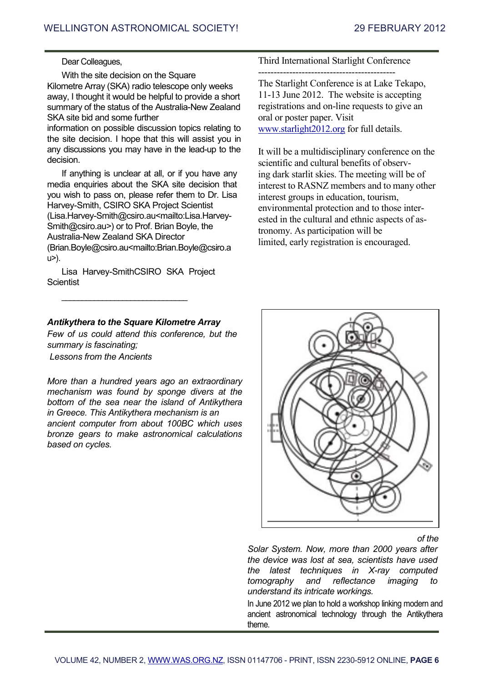#### Dear Colleagues,

With the site decision on the Square Kilometre Array (SKA) radio telescope only weeks away, I thought it would be helpful to provide a short summary of the status of the Australia-New Zealand SKA site bid and some further

information on possible discussion topics relating to the site decision. I hope that this will assist you in any discussions you may have in the lead-up to the decision.

If anything is unclear at all, or if you have any media enquiries about the SKA site decision that you wish to pass on, please refer them to Dr. Lisa Harvey-Smith, CSIRO SKA Project Scientist (Lisa.Harvey-Smith@csiro.au<mailto:Lisa.Harvey-Smith@csiro.au>) or to Prof. Brian Boyle, the Australia-New Zealand SKA Director (Brian.Boyle@csiro.au<mailto:Brian.Boyle@csiro.a u>).

Lisa Harvey-SmithCSIRO SKA Project **Scientist** 

 $\mathcal{L}_\text{max}$  , where  $\mathcal{L}_\text{max}$  and  $\mathcal{L}_\text{max}$  and  $\mathcal{L}_\text{max}$ 

#### *Antikythera to the Square Kilometre Array*

*Few of us could attend this conference, but the summary is fascinating;*

*Lessons from the Ancients*

*More than a hundred years ago an extraordinary mechanism was found by sponge divers at the bottom of the sea near the island of Antikythera in Greece. This Antikythera mechanism is an ancient computer from about 100BC which uses bronze gears to make astronomical calculations based on cycles.*

Third International Starlight Conference

--------------------------------------------

The Starlight Conference is at Lake Tekapo, 11-13 June 2012. The website is accepting registrations and on-line requests to give an oral or poster paper. Visit [www.starlight2012.org](http://www.starlight2012.org/) for full details.

It will be a multidisciplinary conference on the scientific and cultural benefits of observing dark starlit skies. The meeting will be of interest to RASNZ members and to many other interest groups in education, tourism, environmental protection and to those interested in the cultural and ethnic aspects of astronomy. As participation will be limited, early registration is encouraged.



*of the*

*Solar System. Now, more than 2000 years after the device was lost at sea, scientists have used the latest techniques in X-ray computed tomography and reflectance imaging to understand its intricate workings.*

In June 2012 we plan to hold a workshop linking modern and ancient astronomical technology through the Antikythera theme.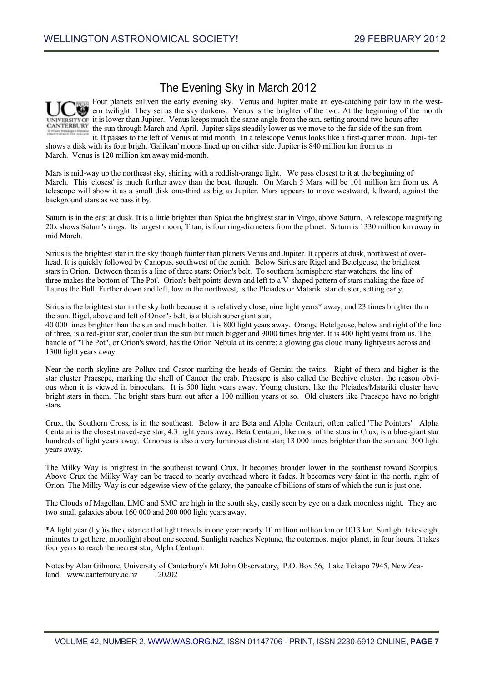### The Evening Sky in March 2012



Four planets enliven the early evening sky. Venus and Jupiter make an eye-catching pair low in the western twilight. They set as the sky darkens. Venus is the brighter of the two. At the beginning of the month it is lower than Jupiter. Venus keeps much the same angle from the sun, setting around two hours after the sun through March and April. Jupiter slips steadily lower as we move to the far side of the sun from it. It passes to the left of Venus at mid month. In a telescope Venus looks like a first-quarter moon. Jupi- ter

shows a disk with its four bright 'Galilean' moons lined up on either side. Jupiter is 840 million km from us in March. Venus is 120 million km away mid-month.

Mars is mid-way up the northeast sky, shining with a reddish-orange light. We pass closest to it at the beginning of March. This 'closest' is much further away than the best, though. On March 5 Mars will be 101 million km from us. A telescope will show it as a small disk one-third as big as Jupiter. Mars appears to move westward, leftward, against the background stars as we pass it by.

Saturn is in the east at dusk. It is a little brighter than Spica the brightest star in Virgo, above Saturn. A telescope magnifying 20x shows Saturn's rings. Its largest moon, Titan, is four ring-diameters from the planet. Saturn is 1330 million km away in mid March.

Sirius is the brightest star in the sky though fainter than planets Venus and Jupiter. It appears at dusk, northwest of overhead. It is quickly followed by Canopus, southwest of the zenith. Below Sirius are Rigel and Betelgeuse, the brightest stars in Orion. Between them is a line of three stars: Orion's belt. To southern hemisphere star watchers, the line of three makes the bottom of 'The Pot'. Orion's belt points down and left to a V-shaped pattern of stars making the face of Taurus the Bull. Further down and left, low in the northwest, is the Pleiades or Matariki star cluster, setting early.

Sirius is the brightest star in the sky both because it is relatively close, nine light years\* away, and 23 times brighter than the sun. Rigel, above and left of Orion's belt, is a bluish supergiant star,

40 000 times brighter than the sun and much hotter. It is 800 light years away. Orange Betelgeuse, below and right of the line of three, is a red-giant star, cooler than the sun but much bigger and 9000 times brighter. It is 400 light years from us. The handle of "The Pot", or Orion's sword, has the Orion Nebula at its centre; a glowing gas cloud many lightyears across and 1300 light years away.

Near the north skyline are Pollux and Castor marking the heads of Gemini the twins. Right of them and higher is the star cluster Praesepe, marking the shell of Cancer the crab. Praesepe is also called the Beehive cluster, the reason obvious when it is viewed in binoculars. It is 500 light years away. Young clusters, like the Pleiades/Matariki cluster have bright stars in them. The bright stars burn out after a 100 million years or so. Old clusters like Praesepe have no bright stars.

Crux, the Southern Cross, is in the southeast. Below it are Beta and Alpha Centauri, often called 'The Pointers'. Alpha Centauri is the closest naked-eye star, 4.3 light years away. Beta Centauri, like most of the stars in Crux, is a blue-giant star hundreds of light years away. Canopus is also a very luminous distant star; 13 000 times brighter than the sun and 300 light years away.

The Milky Way is brightest in the southeast toward Crux. It becomes broader lower in the southeast toward Scorpius. Above Crux the Milky Way can be traced to nearly overhead where it fades. It becomes very faint in the north, right of Orion. The Milky Way is our edgewise view of the galaxy, the pancake of billions of stars of which the sun is just one.

The Clouds of Magellan, LMC and SMC are high in the south sky, easily seen by eye on a dark moonless night. They are two small galaxies about 160 000 and 200 000 light years away.

\*A light year (l.y.)is the distance that light travels in one year: nearly 10 million million km or 1013 km. Sunlight takes eight minutes to get here; moonlight about one second. Sunlight reaches Neptune, the outermost major planet, in four hours. It takes four years to reach the nearest star, Alpha Centauri.

Notes by Alan Gilmore, University of Canterbury's Mt John Observatory, P.O. Box 56, Lake Tekapo 7945, New Zealand. [www.canterbury.ac.nz](http://www.canterbury.ac.nz/) 120202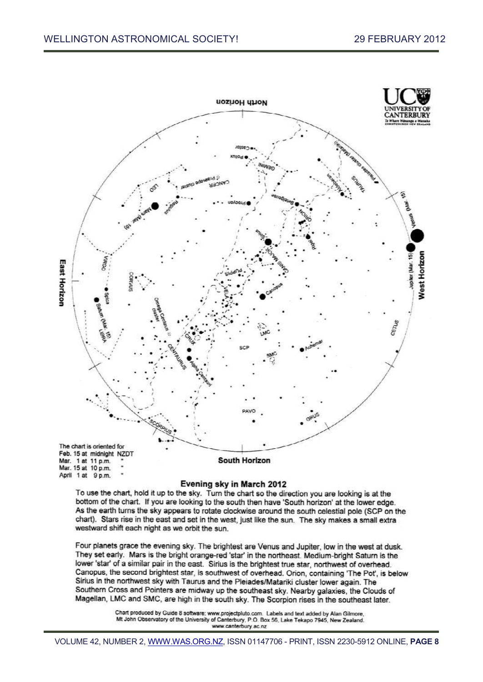

#### Evening sky in March 2012

To use the chart, hold it up to the sky. Turn the chart so the direction you are looking is at the bottom of the chart. If you are looking to the south then have 'South horizon' at the lower edge. As the earth turns the sky appears to rotate clockwise around the south celestial pole (SCP on the chart). Stars rise in the east and set in the west, just like the sun. The sky makes a small extra westward shift each night as we orbit the sun.

Four planets grace the evening sky. The brightest are Venus and Jupiter, low in the west at dusk. They set early. Mars is the bright orange-red 'star' in the northeast. Medium-bright Saturn is the lower 'star' of a similar pair in the east. Sirius is the brightest true star, northwest of overhead. Canopus, the second brightest star, is southwest of overhead. Orion, containing 'The Pot', is below Sirius in the northwest sky with Taurus and the Pleiades/Matariki cluster lower again. The Southern Cross and Pointers are midway up the southeast sky. Nearby galaxies, the Clouds of Magellan, LMC and SMC, are high in the south sky. The Scorpion rises in the southeast later.

> Chart produced by Guide 8 software; www.projectpluto.com. Labels and text added by Alan Gilmore, Mt John Observatory of the University of Canterbury, P.O. Box 56, Lake Tekapo 7945, New Zealand.